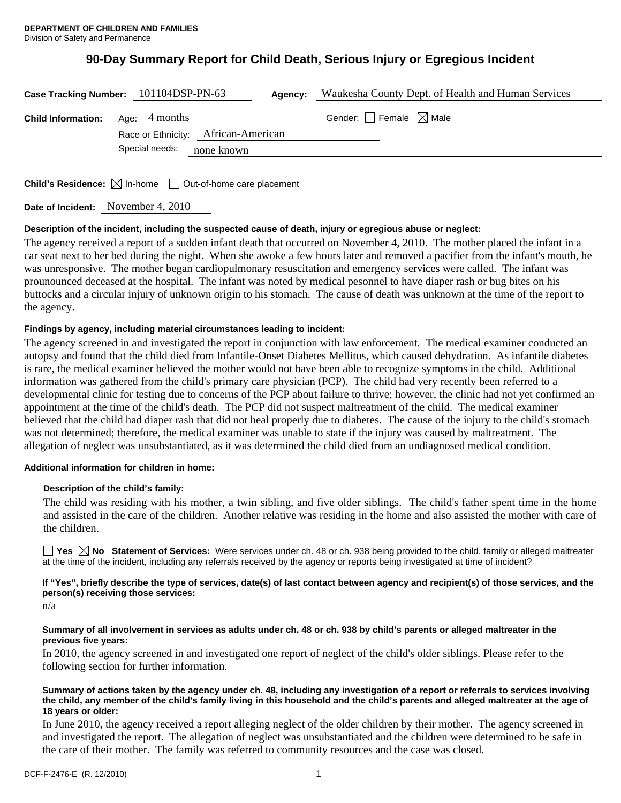# **90-Day Summary Report for Child Death, Serious Injury or Egregious Incident**

| Case Tracking Number: 101104DSP-PN-63   |                | Agency:                             |                                        | Waukesha County Dept. of Health and Human Services |
|-----------------------------------------|----------------|-------------------------------------|----------------------------------------|----------------------------------------------------|
| <b>Child Information:</b> Age: 4 months |                | Race or Ethnicity: African-American | Gender: $\Box$ Female $\boxtimes$ Male |                                                    |
|                                         | Special needs: | none known                          |                                        |                                                    |

**Child's Residence:** ⊠ In-home □ Out-of-home care placement

**Date of Incident:** November 4, 2010

## **Description of the incident, including the suspected cause of death, injury or egregious abuse or neglect:**

The agency received a report of a sudden infant death that occurred on November 4, 2010. The mother placed the infant in a car seat next to her bed during the night. When she awoke a few hours later and removed a pacifier from the infant's mouth, he was unresponsive. The mother began cardiopulmonary resuscitation and emergency services were called. The infant was prounounced deceased at the hospital. The infant was noted by medical pesonnel to have diaper rash or bug bites on his buttocks and a circular injury of unknown origin to his stomach. The cause of death was unknown at the time of the report to the agency.

## **Findings by agency, including material circumstances leading to incident:**

The agency screened in and investigated the report in conjunction with law enforcement. The medical examiner conducted an autopsy and found that the child died from Infantile-Onset Diabetes Mellitus, which caused dehydration. As infantile diabetes is rare, the medical examiner believed the mother would not have been able to recognize symptoms in the child. Additional information was gathered from the child's primary care physician (PCP). The child had very recently been referred to a developmental clinic for testing due to concerns of the PCP about failure to thrive; however, the clinic had not yet confirmed an appointment at the time of the child's death. The PCP did not suspect maltreatment of the child. The medical examiner believed that the child had diaper rash that did not heal properly due to diabetes. The cause of the injury to the child's stomach was not determined; therefore, the medical examiner was unable to state if the injury was caused by maltreatment. The allegation of neglect was unsubstantiated, as it was determined the child died from an undiagnosed medical condition.

## **Additional information for children in home:**

## **Description of the child's family:**

 The child was residing with his mother, a twin sibling, and five older siblings. The child's father spent time in the home and assisted in the care of the children. Another relative was residing in the home and also assisted the mother with care of the children.

■ Yes △ No Statement of Services: Were services under ch. 48 or ch. 938 being provided to the child, family or alleged maltreater at the time of the incident, including any referrals received by the agency or reports being investigated at time of incident?

## **If "Yes", briefly describe the type of services, date(s) of last contact between agency and recipient(s) of those services, and the person(s) receiving those services:**

n/a

#### **Summary of all involvement in services as adults under ch. 48 or ch. 938 by child's parents or alleged maltreater in the previous five years:**

In 2010, the agency screened in and investigated one report of neglect of the child's older siblings. Please refer to the following section for further information.

#### **Summary of actions taken by the agency under ch. 48, including any investigation of a report or referrals to services involving the child, any member of the child's family living in this household and the child's parents and alleged maltreater at the age of 18 years or older:**

In June 2010, the agency received a report alleging neglect of the older children by their mother. The agency screened in and investigated the report. The allegation of neglect was unsubstantiated and the children were determined to be safe in the care of their mother. The family was referred to community resources and the case was closed.